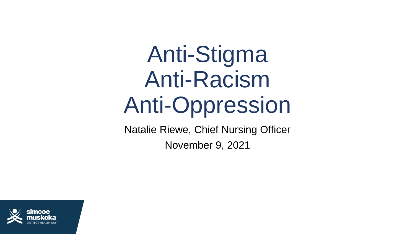# Anti-Stigma Anti-Racism Anti-Oppression

Natalie Riewe, Chief Nursing Officer

November 9, 2021

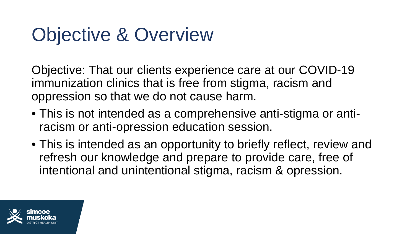## Objective & Overview

Objective: That our clients experience care at our COVID-19 immunization clinics that is free from stigma, racism and oppression so that we do not cause harm.

- This is not intended as a comprehensive anti-stigma or antiracism or anti-opression education session.
- This is intended as an opportunity to briefly reflect, review and refresh our knowledge and prepare to provide care, free of intentional and unintentional stigma, racism & opression.

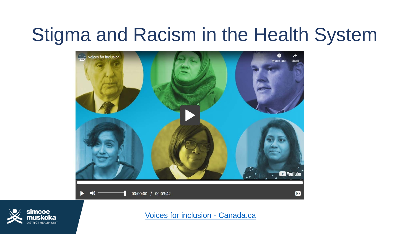#### Stigma and Racism in the Health System





[Voices for inclusion -](https://www.canada.ca/en/public-health/services/video/voices-inclusion.html) Canada.ca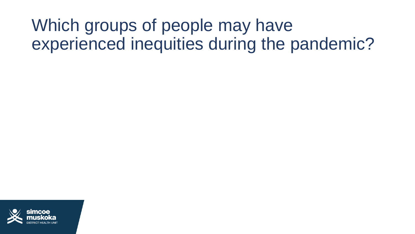#### Which groups of people may have experienced inequities during the pandemic?

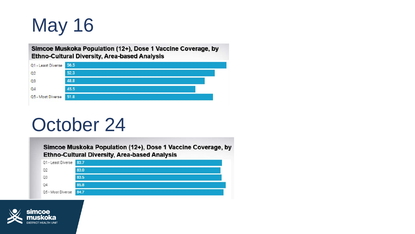## May 16

Simcoe Muskoka Population (12+), Dose 1 Vaccine Coverage, by **Ethno-Cultural Diversity, Area-based Analysis** 



#### October 24

Simcoe Muskoka Population (12+), Dose 1 Vaccine Coverage, by **Ethno-Cultural Diversity, Area-based Analysis** 



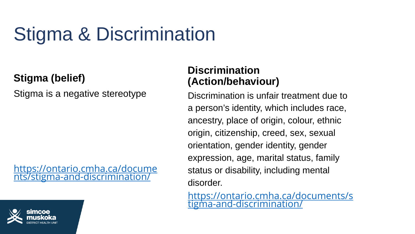## Stigma & Discrimination

#### **Stigma (belief)**

Stigma is a negative stereotype

[https://ontario.cmha.ca/docume](https://ontario.cmha.ca/documents/stigma-and-discrimination/) nts/stigma-and-discrimination/

#### **Discrimination (Action/behaviour)**

Discrimination is unfair treatment due to a person's identity, which includes race, ancestry, place of origin, colour, ethnic origin, citizenship, creed, sex, sexual orientation, gender identity, gender expression, age, marital status, family status or disability, including mental disorder.

[https://ontario.cmha.ca/documents/s](https://ontario.cmha.ca/documents/stigma-and-discrimination/) tigma-and-discrimination/

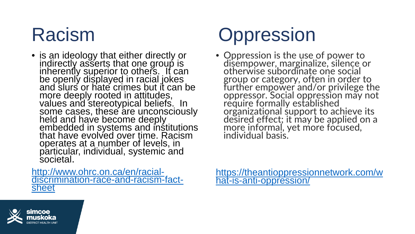• is an ideology that either directly or indirectly asserts that one group is inherently superior to others. It can be openly displayed in racial jokes and slurs or hate crimes but it can be more deeply rooted in attitudes, values and stereotypical beliefs. In some cases, these are unconsciously held and have become deeply embedded in systems and institutions that have evolved over time. Racism operates at a number of levels, in particular, individual, systemic and societal.

http://www.ohrc.on.ca/en/racial-<br>[discrimination-race-and-racism-fact-](http://www.ohrc.on.ca/en/racial-discrimination-race-and-racism-fact-sheet)<br>sheet

## Racism Oppression

• Oppression is the use of power to disempower, marginalize, silence or otherwise subordinate one social group or category, often in order to further empower and/or privilege the oppressor. Social oppression may not require formally established organizational support to achieve its desired effect; it may be applied on a more informal, yet more focused, individual basis.

[https://theantioppressionnetwork.com/w](https://theantioppressionnetwork.com/what-is-anti-oppression/) hat-is-anti-oppression/

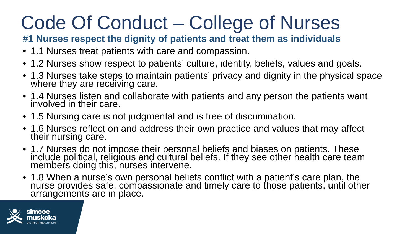## Code Of Conduct – College of Nurses

#### **#1 Nurses respect the dignity of patients and treat them as individuals**

- 1.1 Nurses treat patients with care and compassion.
- 1.2 Nurses show respect to patients' culture, identity, beliefs, values and goals.
- 1.3 Nurses take steps to maintain patients' privacy and dignity in the physical space where they are receiving care.
- 1.4 Nurses listen and collaborate with patients and any person the patients want involved in their care.
- 1.5 Nursing care is not judgmental and is free of discrimination.
- 1.6 Nurses reflect on and address their own practice and values that may affect their nursing care.
- 1.7 Nurses do not impose their personal beliefs and biases on patients. These include political, religious and cultural beliefs. If they see other health care team members doing this, nurses intervene.
- 1.8 When a nurse's own personal beliefs conflict with a patient's care plan, the nurse provides safe, compassionate and timely care to those patients, until other arrangements are in place.

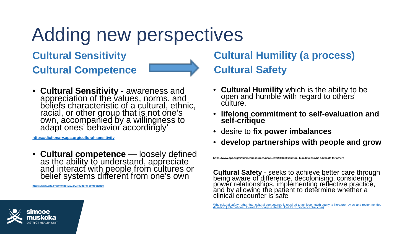## Adding new perspectives

**Cultural Sensitivity Cultural Competence**



• **Cultural Sensitivity** - awareness and appreciation of the values, norms, and beliefs characteristic of a cultural, ethnic, racial, or other group that is not one's own, accompanied by a willingness to adapt ones' behavior accordingly'

**<https://dictionary.apa.org/cultural-sensitivity>**

• **Cultural competence** — loosely defined as the ability to understand, appreciate and interact with people from cultures or belief systems different from one's own

**<https://www.apa.org/monitor/2015/03/cultural-competence>**

#### **Cultural Humility (a process) Cultural Safety**

- **Cultural Humility** which is the ability to be open and humble with regard to others' culture.
- **lifelong commitment to self-evaluation and self-critique**
- desire to **fix power imbalances**
- **develop partnerships with people and grow**

**https://www.apa.org/pi/families/resources/newsletter/2013/08/cultural-humilityups who advocate for others**

**Cultural Safety** - seeks to achieve better care through<br>being aware of difference, decolonising, considering<br>power relationships, implementing reflective practice, and by allowing the patient to determine whether a clinical encounter is safe

[Why cultural safety rather than cultural competency is required to achieve health equity: a literature review and recommended](https://equityhealthj.biomedcentral.com/articles/10.1186/s12939-019-1082-3)<br>definition | International Journal for Equity in Health | Full Text (biomedcentral.com)

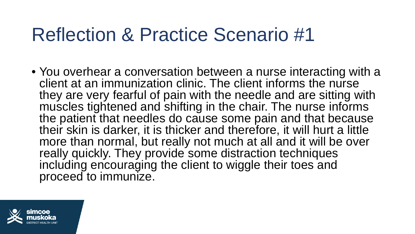#### Reflection & Practice Scenario #1

• You overhear a conversation between a nurse interacting with a client at an immunization clinic. The client informs the nurse they are very fearful of pain with the needle and are sitting with muscles tightened and shifting in the chair. The nurse informs the patient that needles do cause some pain and that because their skin is darker, it is thicker and therefore, it will hurt a little more than normal, but really not much at all and it will be over really quickly. They provide some distraction techniques including encouraging the client to wiggle their toes and proceed to immunize.

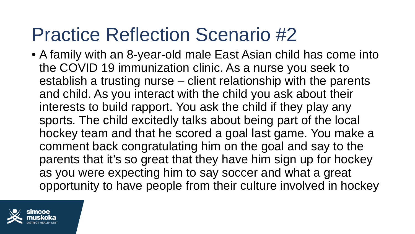### Practice Reflection Scenario #2

• A family with an 8-year-old male East Asian child has come into the COVID 19 immunization clinic. As a nurse you seek to establish a trusting nurse – client relationship with the parents and child. As you interact with the child you ask about their interests to build rapport. You ask the child if they play any sports. The child excitedly talks about being part of the local hockey team and that he scored a goal last game. You make a comment back congratulating him on the goal and say to the parents that it's so great that they have him sign up for hockey as you were expecting him to say soccer and what a great opportunity to have people from their culture involved in hockey

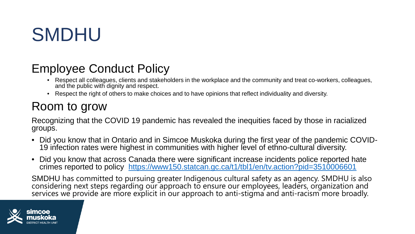### SMDHU

- Employee Conduct Policy Respect all colleagues, clients and stakeholders in the workplace and the community and treat co-workers, colleagues, and the public with dignity and respect.
	- Respect the right of others to make choices and to have opinions that reflect individuality and diversity.

#### Room to grow

Recognizing that the COVID 19 pandemic has revealed the inequities faced by those in racialized groups.

- Did you know that in Ontario and in Simcoe Muskoka during the first year of the pandemic COVID- 19 infection rates were highest in communities with higher level of ethno-cultural diversity.
- Did you know that across Canada there were significant increase incidents police reported hate crimes reported to policy <https://www150.statcan.gc.ca/t1/tbl1/en/tv.action?pid=3510006601>

SMDHU has committed to pursuing greater Indigenous cultural safety as an agency. SMDHU is also<br>considering next steps regarding our approach to ensure our employees, leaders, organization and services we provide are more explicit in our approach to anti-stigma and anti-racism more broadly.

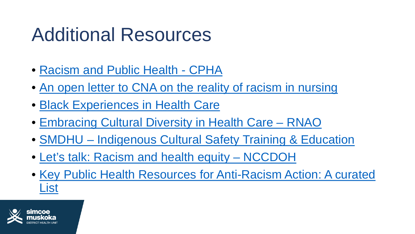### Additional Resources

- [Racism and Public Health -](https://www.cpha.ca/racism-and-public-health) CPHA
- [An open letter to CNA on the reality of racism in nursing](https://canadian-nurse.com/en/articles/issues/2020/august-2020/an-open-letter-to-cna-on-the-reality-of-racism-in-nursing)
- [Black Experiences in Health Care](https://www.mountsinai.on.ca/about_us/health-equity/pdfs/SHS-BEHC-report-FINAL-aoda-final.pdf)
- [Embracing Cultural Diversity in Health Care –](https://rnao.ca/sites/rnao-ca/files/Embracing_Cultural_Diversity_in_Health_Care_-_Developing_Cultural_Competence.pdf) RNAO
- SMDHU [Indigenous Cultural Safety Training & Education](http://intranet.smdhu.net/ToolsResources/indigenous-engagment)
- [Let's talk: Racism and health equity –](https://nccdh.ca/resources/entry/lets-talk-racism-and-health-equity) NCCDOH
- [Key Public Health Resources for Anti-Racism Action: A curated](https://nccdh.ca/images/uploads/comments/Key_public_health_resources_for_anti-racism_action_-_A_curated_list_EN_Final.pdf)  List

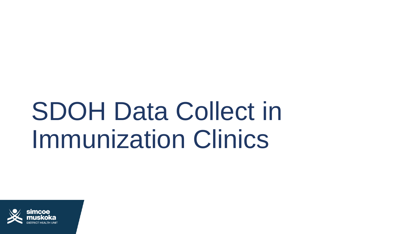# SDOH Data Collect in Immunization Clinics

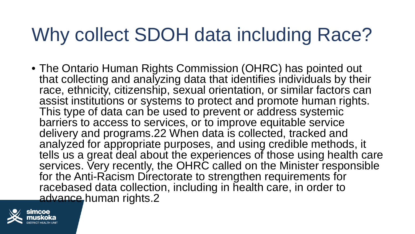## Why collect SDOH data including Race?

• The Ontario Human Rights Commission (OHRC) has pointed out that collecting and analyzing data that identifies individuals by their race, ethnicity, citizenship, sexual orientation, or similar factors can assist institutions or systems to protect and promote human rights. This type of data can be used to prevent or address systemic barriers to access to services, or to improve equitable service delivery and programs.22 When data is collected, tracked and analyzed for appropriate purposes, and using credible methods, it tells us a great deal about the experiences of those using health care services. Very recently, the OHRC called on the Minister responsible for the Anti-Racism Directorate to strengthen requirements for racebased data collection, including in health care, in order to advance human rights.2

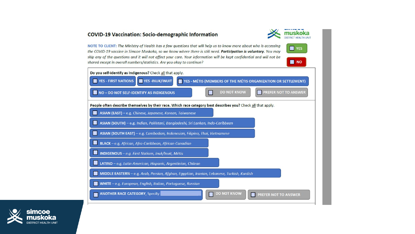#### **COVID-19 Vaccination: Socio-demographic Information**

NOTE TO CLIENT: The Ministry of Health has a few questions that will help us to know more about who is accessing the COVID-19 vaccine in Simcoe Muskoka, so we know where there is still need. Participation is voluntary. You may skip any of the questions and it will not affect your care. Your information will be kept confidential and will not be shared except in overall numbers/statistics. Are you okay to continue?



**TES** 

 $\blacksquare$  NO

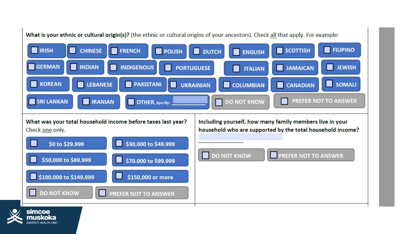